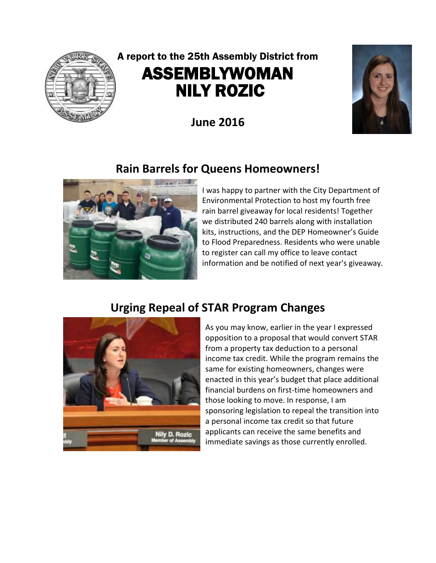

# A report to the 25th Assembly District from ASSEMBLYWOMAN NILY ROZIC

**June 2016**



# **Rain Barrels for Queens Homeowners!**



I was happy to partner with the City Department of Environmental Protection to host my fourth free rain barrel giveaway for local residents! Together we distributed 240 barrels along with installation kits, instructions, and the DEP Homeowner's Guide to Flood Preparedness. Residents who were unable to register can call my office to leave contact information and be notified of next year's giveaway.

# **Urging Repeal of STAR Program Changes**



As you may know, earlier in the year I expressed opposition to a proposal that would convert STAR from a property tax deduction to a personal income tax credit. While the program remains the same for existing homeowners, changes were enacted in this year's budget that place additional financial burdens on first-time homeowners and those looking to move. In response, I am sponsoring legislation to repeal the transition into a personal income tax credit so that future applicants can receive the same benefits and immediate savings as those currently enrolled.